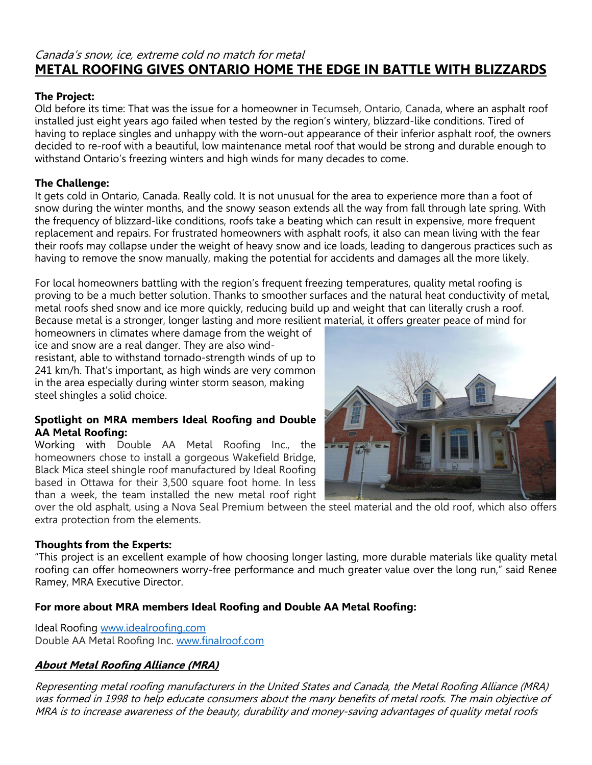# Canada's snow, ice, extreme cold no match for metal **METAL ROOFING GIVES ONTARIO HOME THE EDGE IN BATTLE WITH BLIZZARDS**

### **The Project:**

Old before its time: That was the issue for a homeowner in Tecumseh, Ontario, Canada, where an asphalt roof installed just eight years ago failed when tested by the region's wintery, blizzard-like conditions. Tired of having to replace singles and unhappy with the worn-out appearance of their inferior asphalt roof, the owners decided to re-roof with a beautiful, low maintenance metal roof that would be strong and durable enough to withstand Ontario's freezing winters and high winds for many decades to come.

### **The Challenge:**

It gets cold in Ontario, Canada. Really cold. It is not unusual for the area to experience more than a foot of snow during the winter months, and the snowy season extends all the way from fall through late spring. With the frequency of blizzard-like conditions, roofs take a beating which can result in expensive, more frequent replacement and repairs. For frustrated homeowners with asphalt roofs, it also can mean living with the fear their roofs may collapse under the weight of heavy snow and ice loads, leading to dangerous practices such as having to remove the snow manually, making the potential for accidents and damages all the more likely.

For local homeowners battling with the region's frequent freezing temperatures, quality metal roofing is proving to be a much better solution. Thanks to smoother surfaces and the natural heat conductivity of metal, metal roofs shed snow and ice more quickly, reducing build up and weight that can literally crush a roof. Because metal is a stronger, longer lasting and more resilient material, it offers greater peace of mind for

homeowners in climates where damage from the weight of ice and snow are a real danger. They are also windresistant, able to withstand tornado-strength winds of up to 241 km/h. That's important, as high winds are very common in the area especially during winter storm season, making steel shingles a solid choice.

#### **Spotlight on MRA members Ideal Roofing and Double AA Metal Roofing:**

Working with Double AA Metal Roofing Inc., the homeowners chose to install a gorgeous Wakefield Bridge, Black Mica steel shingle roof manufactured by Ideal Roofing based in Ottawa for their 3,500 square foot home. In less than a week, the team installed the new metal roof right



over the old asphalt, using a Nova Seal Premium between the steel material and the old roof, which also offers extra protection from the elements.

### **Thoughts from the Experts:**

"This project is an excellent example of how choosing longer lasting, more durable materials like quality metal roofing can offer homeowners worry-free performance and much greater value over the long run," said Renee Ramey, MRA Executive Director.

## **For more about MRA members Ideal Roofing and Double AA Metal Roofing:**

Ideal Roofing [www.idealroofing.com](http://www.idealroofing.com/) Double AA Metal Roofing Inc. [www.finalroof.com](http://www.finalroof.com/)

## **About Metal Roofing Alliance (MRA)**

Representing metal roofing manufacturers in the United States and Canada, the Metal Roofing Alliance (MRA) was formed in 1998 to help educate consumers about the many benefits of metal roofs. The main objective of MRA is to increase awareness of the beauty, durability and money-saving advantages of quality metal roofs